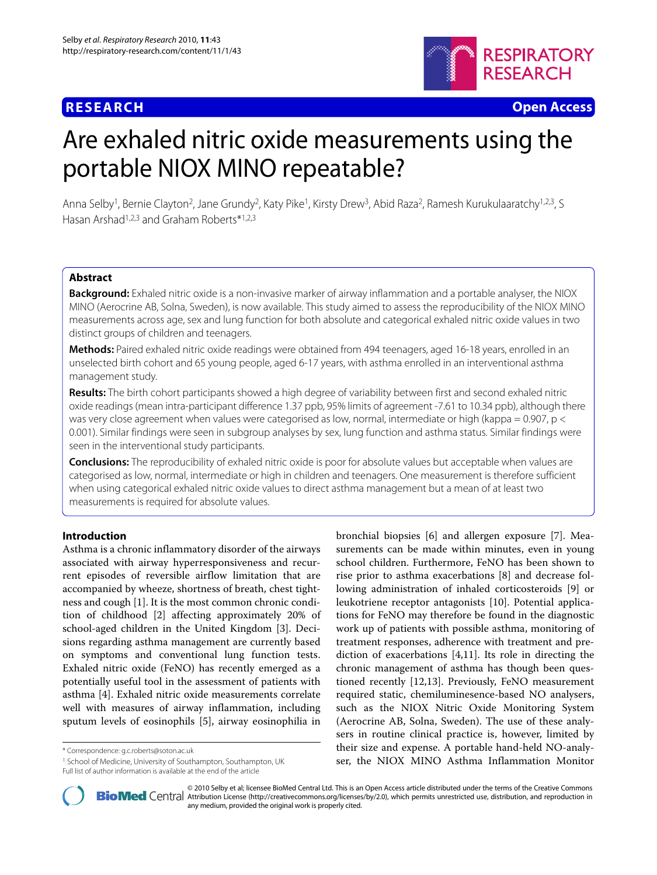## **RESEARCH Open Access**



# Are exhaled nitric oxide measurements using the portable NIOX MINO repeatable?

Anna Selby<sup>1</sup>, Bernie Clayton<sup>2</sup>, Jane Grundy<sup>2</sup>, Katy Pike<sup>1</sup>, Kirsty Drew<sup>3</sup>, Abid Raza<sup>2</sup>, Ramesh Kurukulaaratchy<sup>1,2,3</sup>, S Hasan Arshad1,2,3 and Graham Roberts\*1,2,3

## **Abstract**

**Background:** Exhaled nitric oxide is a non-invasive marker of airway inflammation and a portable analyser, the NIOX MINO (Aerocrine AB, Solna, Sweden), is now available. This study aimed to assess the reproducibility of the NIOX MINO measurements across age, sex and lung function for both absolute and categorical exhaled nitric oxide values in two distinct groups of children and teenagers.

**Methods:** Paired exhaled nitric oxide readings were obtained from 494 teenagers, aged 16-18 years, enrolled in an unselected birth cohort and 65 young people, aged 6-17 years, with asthma enrolled in an interventional asthma management study.

**Results:** The birth cohort participants showed a high degree of variability between first and second exhaled nitric oxide readings (mean intra-participant difference 1.37 ppb, 95% limits of agreement -7.61 to 10.34 ppb), although there was very close agreement when values were categorised as low, normal, intermediate or high (kappa = 0.907, p < 0.001). Similar findings were seen in subgroup analyses by sex, lung function and asthma status. Similar findings were seen in the interventional study participants.

**Conclusions:** The reproducibility of exhaled nitric oxide is poor for absolute values but acceptable when values are categorised as low, normal, intermediate or high in children and teenagers. One measurement is therefore sufficient when using categorical exhaled nitric oxide values to direct asthma management but a mean of at least two measurements is required for absolute values.

## **Introduction**

Asthma is a chronic inflammatory disorder of the airways associated with airway hyperresponsiveness and recurrent episodes of reversible airflow limitation that are accompanied by wheeze, shortness of breath, chest tightness and cough [\[1](#page-8-0)]. It is the most common chronic condition of childhood [\[2](#page-8-1)] affecting approximately 20% of school-aged children in the United Kingdom [[3\]](#page-8-2). Decisions regarding asthma management are currently based on symptoms and conventional lung function tests. Exhaled nitric oxide (FeNO) has recently emerged as a potentially useful tool in the assessment of patients with asthma [\[4](#page-8-3)]. Exhaled nitric oxide measurements correlate well with measures of airway inflammation, including sputum levels of eosinophils [[5\]](#page-8-4), airway eosinophilia in

\* Correspondence: g.c.roberts@soton.ac.uk

bronchial biopsies [[6\]](#page-8-5) and allergen exposure [\[7](#page-8-6)]. Measurements can be made within minutes, even in young school children. Furthermore, FeNO has been shown to rise prior to asthma exacerbations [\[8\]](#page-8-7) and decrease following administration of inhaled corticosteroids [\[9](#page-8-8)] or leukotriene receptor antagonists [[10\]](#page-8-9). Potential applications for FeNO may therefore be found in the diagnostic work up of patients with possible asthma, monitoring of treatment responses, adherence with treatment and prediction of exacerbations [[4,](#page-8-3)[11\]](#page-8-10). Its role in directing the chronic management of asthma has though been questioned recently [[12,](#page-8-11)[13\]](#page-8-12). Previously, FeNO measurement required static, chemiluminesence-based NO analysers, such as the NIOX Nitric Oxide Monitoring System (Aerocrine AB, Solna, Sweden). The use of these analysers in routine clinical practice is, however, limited by their size and expense. A portable hand-held NO-analyser, the NIOX MINO Asthma Inflammation Monitor



2010 Selby et al; licensee [BioMed](http://www.biomedcentral.com/) Central Ltd. This is an Open Access article distributed under the terms of the Creative Commons (http://creativecommons.org/licenses/by/2.0), which permits unrestricted use, distribution, any medium, provided the original work is properly cited.

<sup>1</sup> School of Medicine, University of Southampton, Southampton, UK Full list of author information is available at the end of the article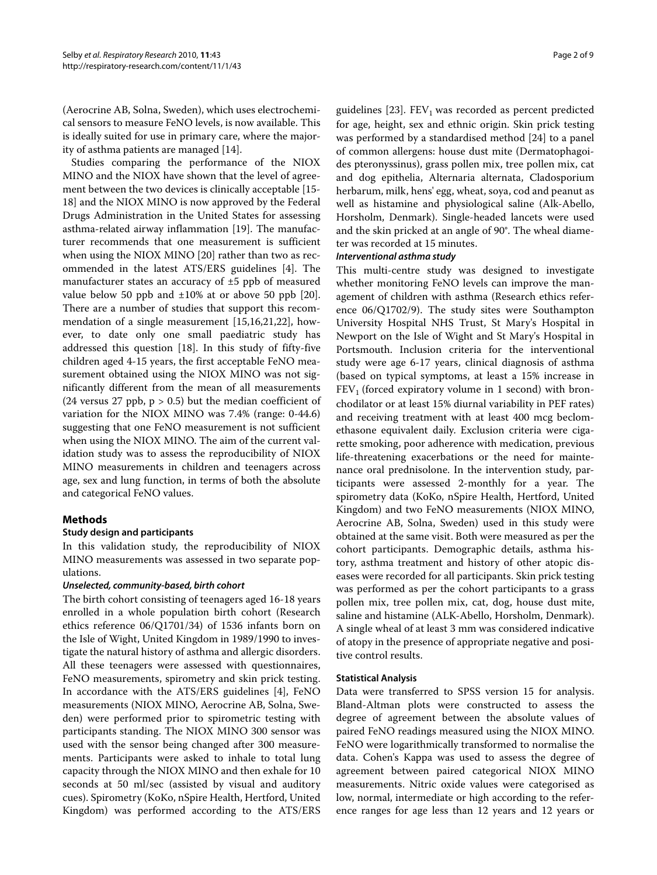(Aerocrine AB, Solna, Sweden), which uses electrochemical sensors to measure FeNO levels, is now available. This is ideally suited for use in primary care, where the majority of asthma patients are managed [\[14\]](#page-8-13).

Studies comparing the performance of the NIOX MINO and the NIOX have shown that the level of agreement between the two devices is clinically acceptable [\[15-](#page-8-14) [18](#page-8-15)] and the NIOX MINO is now approved by the Federal Drugs Administration in the United States for assessing asthma-related airway inflammation [[19\]](#page-8-16). The manufacturer recommends that one measurement is sufficient when using the NIOX MINO [\[20\]](#page-8-17) rather than two as recommended in the latest ATS/ERS guidelines [[4\]](#page-8-3). The manufacturer states an accuracy of ±5 ppb of measured value below 50 ppb and  $\pm 10\%$  at or above 50 ppb [\[20](#page-8-17)]. There are a number of studies that support this recommendation of a single measurement [\[15](#page-8-14)[,16](#page-8-18)[,21](#page-8-19)[,22](#page-8-20)], however, to date only one small paediatric study has addressed this question [\[18](#page-8-15)]. In this study of fifty-five children aged 4-15 years, the first acceptable FeNO measurement obtained using the NIOX MINO was not significantly different from the mean of all measurements (24 versus 27 ppb,  $p > 0.5$ ) but the median coefficient of variation for the NIOX MINO was 7.4% (range: 0-44.6) suggesting that one FeNO measurement is not sufficient when using the NIOX MINO. The aim of the current validation study was to assess the reproducibility of NIOX MINO measurements in children and teenagers across age, sex and lung function, in terms of both the absolute and categorical FeNO values.

## **Methods**

## **Study design and participants**

In this validation study, the reproducibility of NIOX MINO measurements was assessed in two separate populations.

#### **Unselected, community-based, birth cohort**

The birth cohort consisting of teenagers aged 16-18 years enrolled in a whole population birth cohort (Research ethics reference 06/Q1701/34) of 1536 infants born on the Isle of Wight, United Kingdom in 1989/1990 to investigate the natural history of asthma and allergic disorders. All these teenagers were assessed with questionnaires, FeNO measurements, spirometry and skin prick testing. In accordance with the ATS/ERS guidelines [\[4](#page-8-3)], FeNO measurements (NIOX MINO, Aerocrine AB, Solna, Sweden) were performed prior to spirometric testing with participants standing. The NIOX MINO 300 sensor was used with the sensor being changed after 300 measurements. Participants were asked to inhale to total lung capacity through the NIOX MINO and then exhale for 10 seconds at 50 ml/sec (assisted by visual and auditory cues). Spirometry (KoKo, nSpire Health, Hertford, United Kingdom) was performed according to the ATS/ERS

guidelines  $[23]$  $[23]$ . FEV<sub>1</sub> was recorded as percent predicted for age, height, sex and ethnic origin. Skin prick testing was performed by a standardised method [\[24\]](#page-8-22) to a panel of common allergens: house dust mite (Dermatophagoides pteronyssinus), grass pollen mix, tree pollen mix, cat and dog epithelia, Alternaria alternata, Cladosporium herbarum, milk, hens' egg, wheat, soya, cod and peanut as well as histamine and physiological saline (Alk-Abello, Horsholm, Denmark). Single-headed lancets were used and the skin pricked at an angle of 90°. The wheal diameter was recorded at 15 minutes.

#### **Interventional asthma study**

This multi-centre study was designed to investigate whether monitoring FeNO levels can improve the management of children with asthma (Research ethics reference 06/Q1702/9). The study sites were Southampton University Hospital NHS Trust, St Mary's Hospital in Newport on the Isle of Wight and St Mary's Hospital in Portsmouth. Inclusion criteria for the interventional study were age 6-17 years, clinical diagnosis of asthma (based on typical symptoms, at least a 15% increase in  $FEV<sub>1</sub>$  (forced expiratory volume in 1 second) with bronchodilator or at least 15% diurnal variability in PEF rates) and receiving treatment with at least 400 mcg beclomethasone equivalent daily. Exclusion criteria were cigarette smoking, poor adherence with medication, previous life-threatening exacerbations or the need for maintenance oral prednisolone. In the intervention study, participants were assessed 2-monthly for a year. The spirometry data (KoKo, nSpire Health, Hertford, United Kingdom) and two FeNO measurements (NIOX MINO, Aerocrine AB, Solna, Sweden) used in this study were obtained at the same visit. Both were measured as per the cohort participants. Demographic details, asthma history, asthma treatment and history of other atopic diseases were recorded for all participants. Skin prick testing was performed as per the cohort participants to a grass pollen mix, tree pollen mix, cat, dog, house dust mite, saline and histamine (ALK-Abello, Horsholm, Denmark). A single wheal of at least 3 mm was considered indicative of atopy in the presence of appropriate negative and positive control results.

#### **Statistical Analysis**

Data were transferred to SPSS version 15 for analysis. Bland-Altman plots were constructed to assess the degree of agreement between the absolute values of paired FeNO readings measured using the NIOX MINO. FeNO were logarithmically transformed to normalise the data. Cohen's Kappa was used to assess the degree of agreement between paired categorical NIOX MINO measurements. Nitric oxide values were categorised as low, normal, intermediate or high according to the reference ranges for age less than 12 years and 12 years or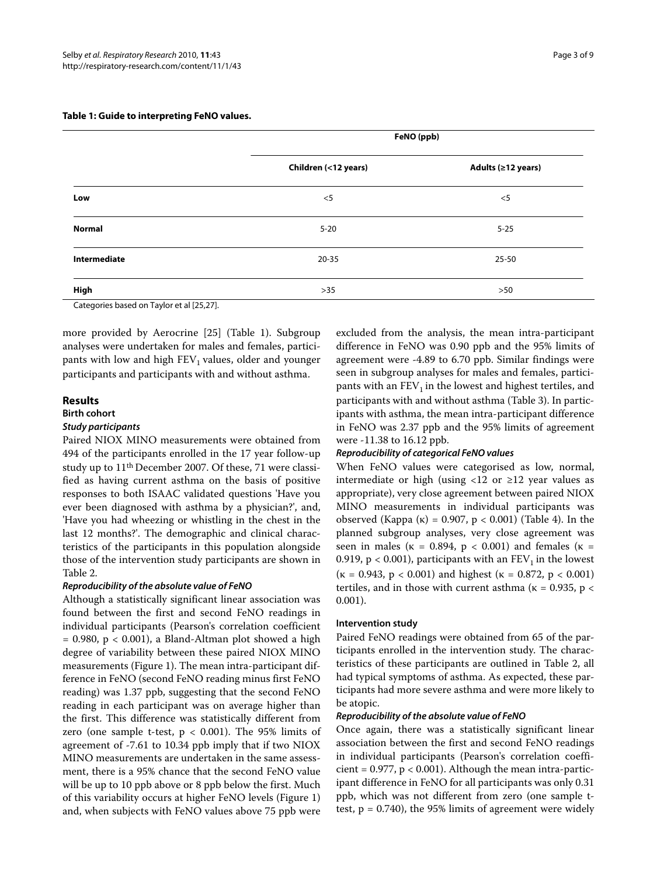|               | FeNO (ppb)           |                    |  |
|---------------|----------------------|--------------------|--|
|               | Children (<12 years) | Adults (≥12 years) |  |
| Low           | $<$ 5                | $<$ 5              |  |
| <b>Normal</b> | $5 - 20$             | $5 - 25$           |  |
| Intermediate  | $20 - 35$            | $25 - 50$          |  |
| High          | $>35$                | >50                |  |

#### **Table 1: Guide to interpreting FeNO values.**

Categories based on Taylor et al [[25](#page-8-23)[,27\]](#page-8-24).

more provided by Aerocrine [[25](#page-8-23)] (Table 1). Subgroup analyses were undertaken for males and females, participants with low and high  $FEV<sub>1</sub>$  values, older and younger participants and participants with and without asthma.

#### **Results**

#### **Birth cohort**

#### **Study participants**

Paired NIOX MINO measurements were obtained from 494 of the participants enrolled in the 17 year follow-up study up to 11th December 2007. Of these, 71 were classified as having current asthma on the basis of positive responses to both ISAAC validated questions 'Have you ever been diagnosed with asthma by a physician?', and, 'Have you had wheezing or whistling in the chest in the last 12 months?'. The demographic and clinical characteristics of the participants in this population alongside those of the intervention study participants are shown in Table 2.

## **Reproducibility of the absolute value of FeNO**

Although a statistically significant linear association was found between the first and second FeNO readings in individual participants (Pearson's correlation coefficient  $= 0.980$ ,  $p < 0.001$ ), a Bland-Altman plot showed a high degree of variability between these paired NIOX MINO measurements (Figure [1\)](#page-5-0). The mean intra-participant difference in FeNO (second FeNO reading minus first FeNO reading) was 1.37 ppb, suggesting that the second FeNO reading in each participant was on average higher than the first. This difference was statistically different from zero (one sample t-test,  $p < 0.001$ ). The 95% limits of agreement of -7.61 to 10.34 ppb imply that if two NIOX MINO measurements are undertaken in the same assessment, there is a 95% chance that the second FeNO value will be up to 10 ppb above or 8 ppb below the first. Much of this variability occurs at higher FeNO levels (Figure [1](#page-5-0)) and, when subjects with FeNO values above 75 ppb were

excluded from the analysis, the mean intra-participant difference in FeNO was 0.90 ppb and the 95% limits of agreement were -4.89 to 6.70 ppb. Similar findings were seen in subgroup analyses for males and females, participants with an  $FEV<sub>1</sub>$  in the lowest and highest tertiles, and participants with and without asthma (Table 3). In participants with asthma, the mean intra-participant difference in FeNO was 2.37 ppb and the 95% limits of agreement were -11.38 to 16.12 ppb.

## **Reproducibility of categorical FeNO values**

When FeNO values were categorised as low, normal, intermediate or high (using  $\langle 12 \text{ or } \geq 12 \rangle$  year values as appropriate), very close agreement between paired NIOX MINO measurements in individual participants was observed (Kappa (κ) = 0.907, p < 0.001) (Table 4). In the planned subgroup analyses, very close agreement was seen in males ( $\kappa = 0.894$ ,  $p < 0.001$ ) and females ( $\kappa =$ 0.919,  $p < 0.001$ ), participants with an  $FEV<sub>1</sub>$  in the lowest ( $\kappa = 0.943$ ,  $p < 0.001$ ) and highest ( $\kappa = 0.872$ ,  $p < 0.001$ ) tertiles, and in those with current asthma ( $\kappa = 0.935$ ,  $p <$ 0.001).

#### **Intervention study**

Paired FeNO readings were obtained from 65 of the participants enrolled in the intervention study. The characteristics of these participants are outlined in Table 2, all had typical symptoms of asthma. As expected, these participants had more severe asthma and were more likely to be atopic.

#### **Reproducibility of the absolute value of FeNO**

Once again, there was a statistically significant linear association between the first and second FeNO readings in individual participants (Pearson's correlation coefficient =  $0.977$ ,  $p < 0.001$ ). Although the mean intra-participant difference in FeNO for all participants was only 0.31 ppb, which was not different from zero (one sample ttest,  $p = 0.740$ , the 95% limits of agreement were widely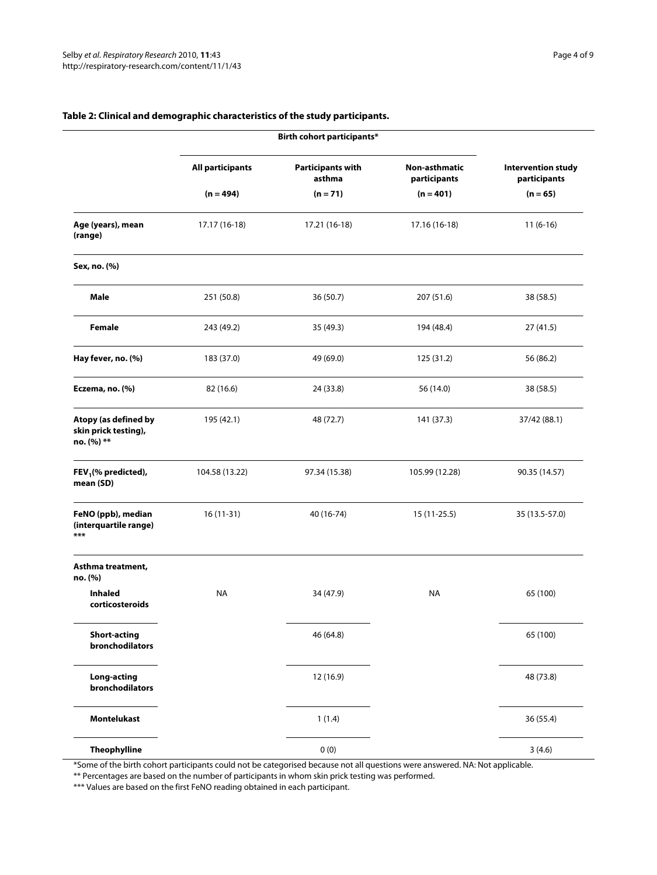|                                                            | Birth cohort participants* |                                    |                               |                                           |
|------------------------------------------------------------|----------------------------|------------------------------------|-------------------------------|-------------------------------------------|
|                                                            | <b>All participants</b>    | <b>Participants with</b><br>asthma | Non-asthmatic<br>participants | <b>Intervention study</b><br>participants |
|                                                            | $(n = 494)$                | $(n = 71)$                         | $(n = 401)$                   | $(n = 65)$                                |
| Age (years), mean<br>(range)                               | 17.17 (16-18)              | 17.21 (16-18)                      | 17.16 (16-18)                 | $11(6-16)$                                |
| Sex, no. (%)                                               |                            |                                    |                               |                                           |
| Male                                                       | 251 (50.8)                 | 36 (50.7)                          | 207 (51.6)                    | 38 (58.5)                                 |
| Female                                                     | 243 (49.2)                 | 35 (49.3)                          | 194 (48.4)                    | 27(41.5)                                  |
| Hay fever, no. (%)                                         | 183 (37.0)                 | 49 (69.0)                          | 125 (31.2)                    | 56 (86.2)                                 |
| Eczema, no. (%)                                            | 82 (16.6)                  | 24 (33.8)                          | 56 (14.0)                     | 38 (58.5)                                 |
| Atopy (as defined by<br>skin prick testing),<br>no. (%) ** | 195 (42.1)                 | 48 (72.7)                          | 141 (37.3)                    | 37/42 (88.1)                              |
| FEV <sub>1</sub> (% predicted),<br>mean (SD)               | 104.58 (13.22)             | 97.34 (15.38)                      | 105.99 (12.28)                | 90.35 (14.57)                             |
| FeNO (ppb), median<br>(interquartile range)<br>***         | 16 (11-31)                 | 40 (16-74)                         | 15 (11-25.5)                  | 35 (13.5-57.0)                            |
| Asthma treatment,<br>no. (%)                               |                            |                                    |                               |                                           |
| <b>Inhaled</b><br>corticosteroids                          | <b>NA</b>                  | 34 (47.9)                          | NA                            | 65 (100)                                  |
| <b>Short-acting</b><br>bronchodilators                     |                            | 46 (64.8)                          |                               | 65 (100)                                  |
| <b>Long-acting</b><br>bronchodilators                      |                            | 12 (16.9)                          |                               | 48 (73.8)                                 |
| <b>Montelukast</b>                                         |                            | 1(1.4)                             |                               | 36 (55.4)                                 |
| <b>Theophylline</b>                                        |                            | 0(0)                               |                               | 3(4.6)                                    |

## **Table 2: Clinical and demographic characteristics of the study participants.**

\*Some of the birth cohort participants could not be categorised because not all questions were answered. NA: Not applicable. \*\* Percentages are based on the number of participants in whom skin prick testing was performed.

\*\*\* Values are based on the first FeNO reading obtained in each participant.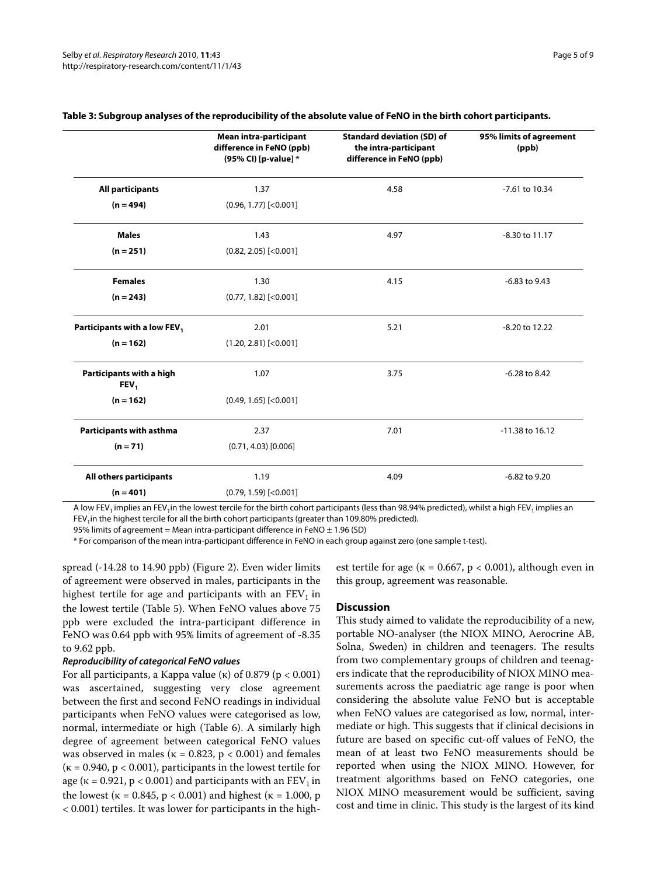|                                              | Mean intra-participant<br>difference in FeNO (ppb)<br>(95% CI) [p-value] * | <b>Standard deviation (SD) of</b><br>the intra-participant<br>difference in FeNO (ppb) | 95% limits of agreement<br>(ppb) |
|----------------------------------------------|----------------------------------------------------------------------------|----------------------------------------------------------------------------------------|----------------------------------|
| <b>All participants</b>                      | 1.37                                                                       | 4.58                                                                                   | -7.61 to 10.34                   |
| $(n = 494)$                                  | $(0.96, 1.77)$ [<0.001]                                                    |                                                                                        |                                  |
| <b>Males</b>                                 | 1.43                                                                       | 4.97                                                                                   | -8.30 to 11.17                   |
| $(n = 251)$                                  | $(0.82, 2.05)$ [<0.001]                                                    |                                                                                        |                                  |
| <b>Females</b>                               | 1.30                                                                       | 4.15                                                                                   | $-6.83$ to $9.43$                |
| $(n = 243)$                                  | $(0.77, 1.82)$ [<0.001]                                                    |                                                                                        |                                  |
| Participants with a low FEV <sub>1</sub>     | 2.01                                                                       | 5.21                                                                                   | -8.20 to 12.22                   |
| $(n = 162)$                                  | $(1.20, 2.81)$ [<0.001]                                                    |                                                                                        |                                  |
| Participants with a high<br>FEV <sub>1</sub> | 1.07                                                                       | 3.75                                                                                   | -6.28 to 8.42                    |
| $(n = 162)$                                  | $(0.49, 1.65)$ [<0.001]                                                    |                                                                                        |                                  |
| Participants with asthma                     | 2.37                                                                       | 7.01                                                                                   | -11.38 to 16.12                  |
| $(n = 71)$                                   | $(0.71, 4.03)$ [0.006]                                                     |                                                                                        |                                  |
| All others participants                      | 1.19                                                                       | 4.09                                                                                   | -6.82 to 9.20                    |
| $(n = 401)$                                  | $(0.79, 1.59)$ [<0.001]                                                    |                                                                                        |                                  |

#### **Table 3: Subgroup analyses of the reproducibility of the absolute value of FeNO in the birth cohort participants.**

A low FEV<sub>1</sub> implies an FEV<sub>1</sub> in the lowest tercile for the birth cohort participants (less than 98.94% predicted), whilst a high FEV<sub>1</sub> implies an FEV<sub>1</sub>in the highest tercile for all the birth cohort participants (greater than 109.80% predicted).

95% limits of agreement = Mean intra-participant difference in FeNO  $\pm$  1.96 (SD)

\* For comparison of the mean intra-participant difference in FeNO in each group against zero (one sample t-test).

spread (-14.28 to 14.90 ppb) (Figure [2](#page-6-0)). Even wider limits of agreement were observed in males, participants in the highest tertile for age and participants with an  $FEV<sub>1</sub>$  in the lowest tertile (Table 5). When FeNO values above 75 ppb were excluded the intra-participant difference in FeNO was 0.64 ppb with 95% limits of agreement of -8.35 to 9.62 ppb.

#### **Reproducibility of categorical FeNO values**

For all participants, a Kappa value (κ) of 0.879 ( $p < 0.001$ ) was ascertained, suggesting very close agreement between the first and second FeNO readings in individual participants when FeNO values were categorised as low, normal, intermediate or high (Table 6). A similarly high degree of agreement between categorical FeNO values was observed in males ( $\kappa = 0.823$ ,  $p < 0.001$ ) and females ( $\kappa$  = 0.940,  $p < 0.001$ ), participants in the lowest tertile for age ( $\kappa$  = 0.921, p < 0.001) and participants with an FEV<sub>1</sub> in the lowest ( $\kappa = 0.845$ ,  $p < 0.001$ ) and highest ( $\kappa = 1.000$ , p < 0.001) tertiles. It was lower for participants in the highest tertile for age ( $\kappa = 0.667$ ,  $p < 0.001$ ), although even in this group, agreement was reasonable.

#### **Discussion**

This study aimed to validate the reproducibility of a new, portable NO-analyser (the NIOX MINO, Aerocrine AB, Solna, Sweden) in children and teenagers. The results from two complementary groups of children and teenagers indicate that the reproducibility of NIOX MINO measurements across the paediatric age range is poor when considering the absolute value FeNO but is acceptable when FeNO values are categorised as low, normal, intermediate or high. This suggests that if clinical decisions in future are based on specific cut-off values of FeNO, the mean of at least two FeNO measurements should be reported when using the NIOX MINO. However, for treatment algorithms based on FeNO categories, one NIOX MINO measurement would be sufficient, saving cost and time in clinic. This study is the largest of its kind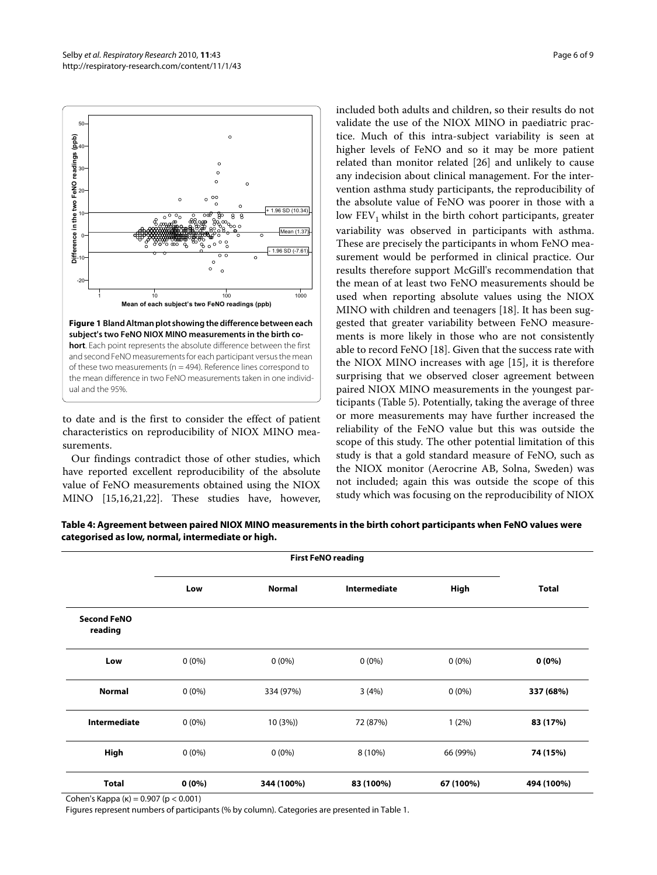<span id="page-5-0"></span>

to date and is the first to consider the effect of patient characteristics on reproducibility of NIOX MINO measurements.

Our findings contradict those of other studies, which have reported excellent reproducibility of the absolute value of FeNO measurements obtained using the NIOX MINO [[15,](#page-8-14)[16,](#page-8-18)[21](#page-8-19)[,22\]](#page-8-20). These studies have, however, included both adults and children, so their results do not validate the use of the NIOX MINO in paediatric practice. Much of this intra-subject variability is seen at higher levels of FeNO and so it may be more patient related than monitor related [[26\]](#page-8-25) and unlikely to cause any indecision about clinical management. For the intervention asthma study participants, the reproducibility of the absolute value of FeNO was poorer in those with a low  $FEV<sub>1</sub>$  whilst in the birth cohort participants, greater variability was observed in participants with asthma. These are precisely the participants in whom FeNO measurement would be performed in clinical practice. Our results therefore support McGill's recommendation that the mean of at least two FeNO measurements should be used when reporting absolute values using the NIOX MINO with children and teenagers [\[18](#page-8-15)]. It has been suggested that greater variability between FeNO measurements is more likely in those who are not consistently able to record FeNO [[18\]](#page-8-15). Given that the success rate with the NIOX MINO increases with age [[15](#page-8-14)], it is therefore surprising that we observed closer agreement between paired NIOX MINO measurements in the youngest participants (Table 5). Potentially, taking the average of three or more measurements may have further increased the reliability of the FeNO value but this was outside the scope of this study. The other potential limitation of this study is that a gold standard measure of FeNO, such as the NIOX monitor (Aerocrine AB, Solna, Sweden) was not included; again this was outside the scope of this study which was focusing on the reproducibility of NIOX

**Table 4: Agreement between paired NIOX MINO measurements in the birth cohort participants when FeNO values were categorised as low, normal, intermediate or high.**

|                               | <b>First FeNO reading</b> |               |              |           |              |
|-------------------------------|---------------------------|---------------|--------------|-----------|--------------|
|                               | Low                       | <b>Normal</b> | Intermediate | High      | <b>Total</b> |
| <b>Second FeNO</b><br>reading |                           |               |              |           |              |
| Low                           | $0(0\%)$                  | $0(0\%)$      | $0(0\%)$     | $0(0\%)$  | $0(0\%)$     |
| <b>Normal</b>                 | $0(0\%)$                  | 334 (97%)     | 3(4%)        | $0(0\%)$  | 337 (68%)    |
| <b>Intermediate</b>           | $0(0\%)$                  | 10(3%)        | 72 (87%)     | 1(2%)     | 83 (17%)     |
| High                          | $0(0\%)$                  | $0(0\%)$      | 8 (10%)      | 66 (99%)  | 74 (15%)     |
| <b>Total</b>                  | $0(0\%)$                  | 344 (100%)    | 83 (100%)    | 67 (100%) | 494 (100%)   |

Cohen's Kappa (κ) = 0.907 (p < 0.001)

Figures represent numbers of participants (% by column). Categories are presented in Table 1.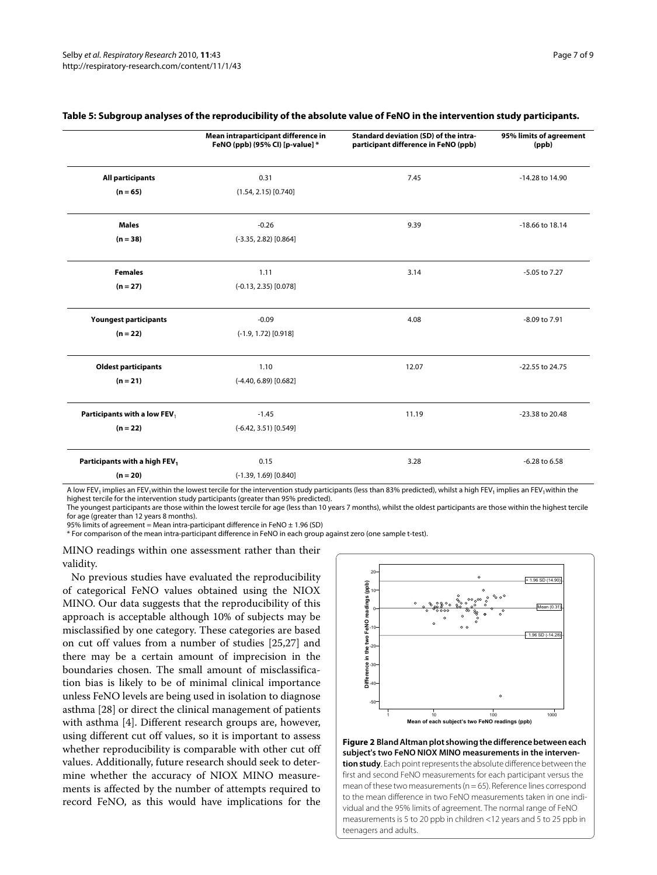|                               | Mean intraparticipant difference in<br>FeNO (ppb) (95% CI) [p-value] * | Standard deviation (SD) of the intra-<br>participant difference in FeNO (ppb) | 95% limits of agreement<br>(ppb) |
|-------------------------------|------------------------------------------------------------------------|-------------------------------------------------------------------------------|----------------------------------|
| <b>All participants</b>       | 0.31                                                                   | 7.45                                                                          | -14.28 to 14.90                  |
| $(n = 65)$                    | $(1.54, 2.15)$ [0.740]                                                 |                                                                               |                                  |
| <b>Males</b>                  | $-0.26$                                                                | 9.39                                                                          | -18.66 to 18.14                  |
| $(n = 38)$                    | $(-3.35, 2.82)$ [0.864]                                                |                                                                               |                                  |
| <b>Females</b>                | 1.11                                                                   | 3.14                                                                          | -5.05 to 7.27                    |
| $(n = 27)$                    | $(-0.13, 2.35)$ [0.078]                                                |                                                                               |                                  |
| <b>Youngest participants</b>  | $-0.09$                                                                | 4.08                                                                          | -8.09 to 7.91                    |
| $(n = 22)$                    | $(-1.9, 1.72)$ [0.918]                                                 |                                                                               |                                  |
| <b>Oldest participants</b>    | 1.10                                                                   | 12.07                                                                         | -22.55 to 24.75                  |
| $(n = 21)$                    | $(-4.40, 6.89)$ [0.682]                                                |                                                                               |                                  |
| Participants with a low FEV,  | $-1.45$                                                                | 11.19                                                                         | -23.38 to 20.48                  |
| $(n = 22)$                    | $(-6.42, 3.51)$ [0.549]                                                |                                                                               |                                  |
| Participants with a high FEV1 | 0.15                                                                   | 3.28                                                                          | -6.28 to 6.58                    |
| $(n = 20)$                    | $(-1.39, 1.69)$ [0.840]                                                |                                                                               |                                  |

#### **Table 5: Subgroup analyses of the reproducibility of the absolute value of FeNO in the intervention study participants.**

A low FEV<sub>1</sub> implies an FEV<sub>1</sub>within the lowest tercile for the intervention study participants (less than 83% predicted), whilst a high FEV<sub>1</sub> implies an FEV<sub>1</sub> within the highest tercile for the intervention study participants (greater than 95% predicted).

The youngest participants are those within the lowest tercile for age (less than 10 years 7 months), whilst the oldest participants are those within the highest tercile

for age (greater than 12 years 8 months).

95% limits of agreement = Mean intra-participant difference in FeNO  $\pm$  1.96 (SD)

\* For comparison of the mean intra-participant difference in FeNO in each group against zero (one sample t-test).

MINO readings within one assessment rather than their validity.

No previous studies have evaluated the reproducibility of categorical FeNO values obtained using the NIOX MINO. Our data suggests that the reproducibility of this approach is acceptable although 10% of subjects may be misclassified by one category. These categories are based on cut off values from a number of studies [[25](#page-8-23),[27](#page-8-24)] and there may be a certain amount of imprecision in the boundaries chosen. The small amount of misclassification bias is likely to be of minimal clinical importance unless FeNO levels are being used in isolation to diagnose asthma [[28\]](#page-8-26) or direct the clinical management of patients with asthma [[4\]](#page-8-3). Different research groups are, however, using different cut off values, so it is important to assess whether reproducibility is comparable with other cut off values. Additionally, future research should seek to determine whether the accuracy of NIOX MINO measurements is affected by the number of attempts required to record FeNO, as this would have implications for the

<span id="page-6-0"></span>

**Figure 2 Bland Altman plot showing the difference between each subject's two FeNO NIOX MINO measurements in the intervention study**. Each point represents the absolute difference between the first and second FeNO measurements for each participant versus the mean of these two measurements ( $n = 65$ ). Reference lines correspond to the mean difference in two FeNO measurements taken in one individual and the 95% limits of agreement. The normal range of FeNO measurements is 5 to 20 ppb in children <12 years and 5 to 25 ppb in teenagers and adults.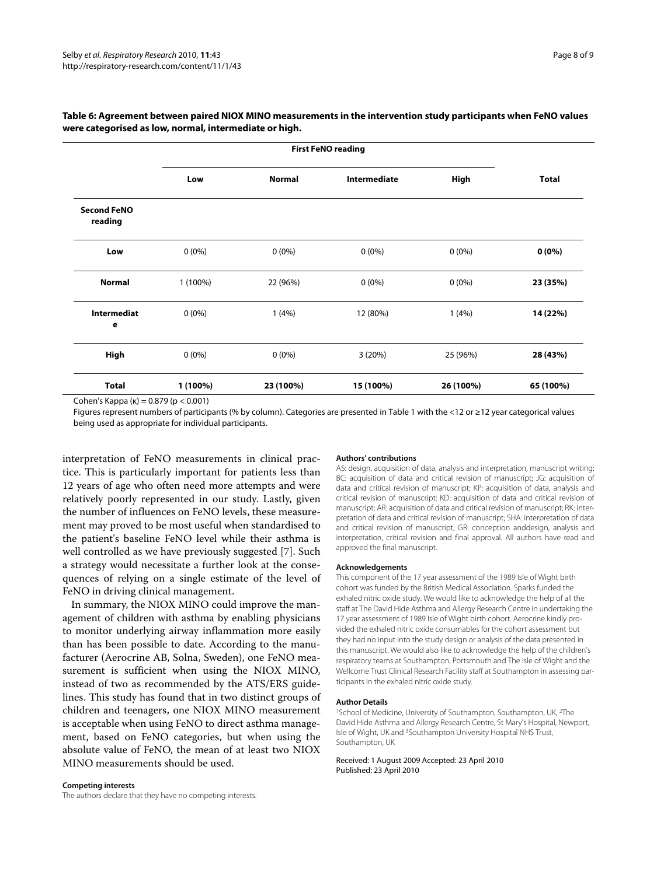|                               | <b>First FeNO reading</b> |               |              |           |              |
|-------------------------------|---------------------------|---------------|--------------|-----------|--------------|
|                               | Low                       | <b>Normal</b> | Intermediate | High      | <b>Total</b> |
| <b>Second FeNO</b><br>reading |                           |               |              |           |              |
| Low                           | $0(0\%)$                  | $0(0\%)$      | $0(0\%)$     | $0(0\%)$  | $0(0\%)$     |
| <b>Normal</b>                 | 1 (100%)                  | 22 (96%)      | $0(0\%)$     | $0(0\%)$  | 23 (35%)     |
| <b>Intermediat</b><br>e       | $0(0\%)$                  | 1(4%)         | 12 (80%)     | 1(4%)     | 14 (22%)     |
| High                          | $0(0\%)$                  | $0(0\%)$      | 3(20%)       | 25 (96%)  | 28 (43%)     |
| <b>Total</b>                  | 1 (100%)                  | 23 (100%)     | 15 (100%)    | 26 (100%) | 65 (100%)    |

## **Table 6: Agreement between paired NIOX MINO measurements in the intervention study participants when FeNO values were categorised as low, normal, intermediate or high.**

Cohen's Kappa (κ) = 0.879 (p < 0.001)

Figures represent numbers of participants (% by column). Categories are presented in Table 1 with the <12 or ≥12 year categorical values being used as appropriate for individual participants.

interpretation of FeNO measurements in clinical practice. This is particularly important for patients less than 12 years of age who often need more attempts and were relatively poorly represented in our study. Lastly, given the number of influences on FeNO levels, these measurement may proved to be most useful when standardised to the patient's baseline FeNO level while their asthma is well controlled as we have previously suggested [\[7](#page-8-6)]. Such a strategy would necessitate a further look at the consequences of relying on a single estimate of the level of FeNO in driving clinical management.

In summary, the NIOX MINO could improve the management of children with asthma by enabling physicians to monitor underlying airway inflammation more easily than has been possible to date. According to the manufacturer (Aerocrine AB, Solna, Sweden), one FeNO measurement is sufficient when using the NIOX MINO, instead of two as recommended by the ATS/ERS guidelines. This study has found that in two distinct groups of children and teenagers, one NIOX MINO measurement is acceptable when using FeNO to direct asthma management, based on FeNO categories, but when using the absolute value of FeNO, the mean of at least two NIOX MINO measurements should be used.

#### **Authors' contributions**

AS: design, acquisition of data, analysis and interpretation, manuscript writing; BC: acquisition of data and critical revision of manuscript; JG: acquisition of data and critical revision of manuscript; KP: acquisition of data, analysis and critical revision of manuscript; KD: acquisition of data and critical revision of manuscript; AR: acquisition of data and critical revision of manuscript; RK: interpretation of data and critical revision of manuscript; SHA: interpretation of data and critical revision of manuscript; GR: conception anddesign, analysis and interpretation, critical revision and final approval. All authors have read and approved the final manuscript.

#### **Acknowledgements**

This component of the 17 year assessment of the 1989 Isle of Wight birth cohort was funded by the British Medical Association. Sparks funded the exhaled nitric oxide study. We would like to acknowledge the help of all the staff at The David Hide Asthma and Allergy Research Centre in undertaking the 17 year assessment of 1989 Isle of Wight birth cohort. Aerocrine kindly provided the exhaled nitric oxide consumables for the cohort assessment but they had no input into the study design or analysis of the data presented in this manuscript. We would also like to acknowledge the help of the children's respiratory teams at Southampton, Portsmouth and The Isle of Wight and the Wellcome Trust Clinical Research Facility staff at Southampton in assessing participants in the exhaled nitric oxide study.

#### **Author Details**

1School of Medicine, University of Southampton, Southampton, UK, 2The David Hide Asthma and Allergy Research Centre, St Mary's Hospital, Newport, Isle of Wight, UK and 3Southampton University Hospital NHS Trust, Southampton, UK

#### Received: 1 August 2009 Accepted: 23 April 2010 Published: 23 April 2010

#### **Competing interests**

The authors declare that they have no competing interests.